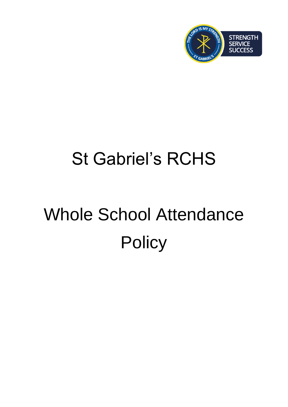

# St Gabriel's RCHS

# Whole School Attendance **Policy**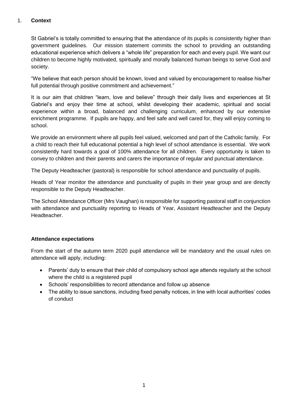#### 1. **Context**

St Gabriel's is totally committed to ensuring that the attendance of its pupils is consistently higher than government guidelines. Our mission statement commits the school to providing an outstanding educational experience which delivers a "whole life" preparation for each and every pupil. We want our children to become highly motivated, spiritually and morally balanced human beings to serve God and society.

"We believe that each person should be known, loved and valued by encouragement to realise his/her full potential through positive commitment and achievement."

It is our aim that children "learn, love and believe" through their daily lives and experiences at St Gabriel's and enjoy their time at school, whilst developing their academic, spiritual and social experience within a broad, balanced and challenging curriculum, enhanced by our extensive enrichment programme. If pupils are happy, and feel safe and well cared for, they will enjoy coming to school.

We provide an environment where all pupils feel valued, welcomed and part of the Catholic family. For a child to reach their full educational potential a high level of school attendance is essential. We work consistently hard towards a goal of 100% attendance for all children. Every opportunity is taken to convey to children and their parents and carers the importance of regular and punctual attendance.

The Deputy Headteacher (pastoral) is responsible for school attendance and punctuality of pupils.

Heads of Year monitor the attendance and punctuality of pupils in their year group and are directly responsible to the Deputy Headteacher.

The School Attendance Officer (Mrs Vaughan) is responsible for supporting pastoral staff in conjunction with attendance and punctuality reporting to Heads of Year, Assistant Headteacher and the Deputy Headteacher.

#### **Attendance expectations**

From the start of the autumn term 2020 pupil attendance will be mandatory and the usual rules on attendance will apply, including:

- Parents' duty to ensure that their child of compulsory school age attends regularly at the school where the child is a registered pupil
- Schools' responsibilities to record attendance and follow up absence
- The ability to issue sanctions, including fixed penalty notices, in line with local authorities' codes of conduct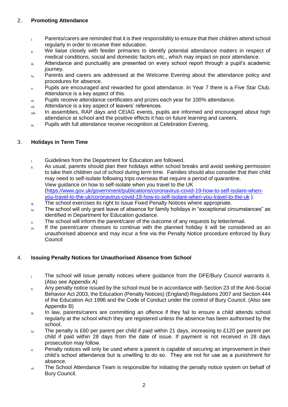#### 2. **Promoting Attendance**

- i. Parents/carers are reminded that it is their responsibility to ensure that their children attend school regularly in order to receive their education.
- ii. We liaise closely with feeder primaries to identify potential attendance matters in respect of medical conditions, social and domestic factors etc., which may impact on poor attendance.
- iii. Attendance and punctuality are presented on every school report through a pupil's academic journey.
- $i_{\text{V}}$  Parents and carers are addressed at the Welcome Evening about the attendance policy and procedures for absence.
- v. Pupils are encouraged and rewarded for good attendance. In Year 7 there is a Five Star Club. Attendance is a key aspect of this.
- $v_{\text{y}}$  Pupils receive attendance certificates and prizes each year for 100% attendance.
- vii. Attendance is a key aspect of leavers' references.
- viii. In assemblies, RAP days and CEIAG events, pupils are informed and encouraged about high attendance at school and the positive effects it has on future learning and careers.
- ix. Pupils with full attendance receive recognition at Celebration Evening.

#### 3. **Holidays in Term Time**

- i. Guidelines from the Department for Education are followed.
- ii. As usual, parents should plan their holidays within school breaks and avoid seeking permission to take their children out of school during term time. Families should also consider that their child may need to self-isolate following trips overseas that require a period of quarantine. View guidance on how to self-isolate when you travel to the UK [\(https://www.gov.uk/government/publications/coronavirus-covid-19-how-to-self-isolare-when](https://www.gov.uk/government/publications/coronavirus-covid-19-how-to-self-isolare-when-you-travel-to-the-uk/coronavirus-covid-19-how-to-self-isolare-when-you-travel-to-the-uk)[you-travel-to-the-uk/coronavirus-covid-19-how-to-self-isolare-when-you-travel-to-the-uk](https://www.gov.uk/government/publications/coronavirus-covid-19-how-to-self-isolare-when-you-travel-to-the-uk/coronavirus-covid-19-how-to-self-isolare-when-you-travel-to-the-uk) ).
- $\ddot{a}_{\text{ii}}$  The school exercises its right to issue Fixed Penalty Notices where appropriate.
- $i_{\text{V}}$ . The school will only grant leave of absence for family holidays in "exceptional circumstances" as identified in Department for Education guidance.
- $v<sub>v</sub>$  The school will inform the parent/carer of the outcome of any requests by letter/email.
- vi. If the parent/carer chooses to continue with the planned holiday it will be considered as an unauthorised absence and may incur a fine via the Penalty Notice procedure enforced by Bury Council

#### 4. **Issuing Penalty Notices for Unauthorised Absence from School**

- $i$ . The school will issue penalty notices where guidance from the DFE/Bury Council warrants it. (Also see Appendix A)
- ii. Any penalty notice issued by the school must be in accordance with Section 23 of the Anti-Social Behavior Act 2003, the Education (Penalty Notices) (England) Regulations 2007 and Section 444 of the Education Act 1996 and the Code of Conduct under the control of Bury Council. (Also see Appendix B)
- iii. In law, parents/carers are committing an offence if they fail to ensure a child attends school regularly at the school which they are registered unless the absence has been authorised by the school.
- $iv$  The penalty is £60 per parent per child if paid within 21 days, increasing to £120 per parent per child if paid within 28 days from the date of issue. If payment is not received in 28 days prosecution may follow.
- $\mathbf{v}$ . Penalty notices will only be used where a parent is capable of securing an improvement in their child's school attendance but is unwilling to do so. They are not for use as a punishment for absence.
- $v_i$ . The School Attendance Team is responsible for initiating the penalty notice system on behalf of Bury Council.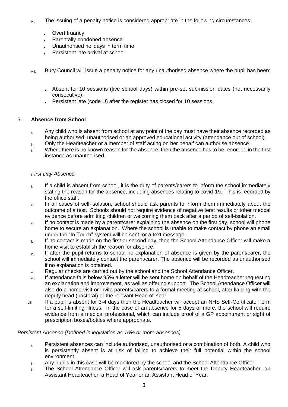- $v_{\text{int}}$  The issuing of a penalty notice is considered appropriate in the following circumstances:
	- Overt truancy
	- Parentally-condoned absence
	- Unauthorised holidays in term time
	- Persistent late arrival at school.
- viii. Bury Council will issue a penalty notice for any unauthorised absence where the pupil has been:
	- Absent for 10 sessions (five school days) within pre-set submission dates (not necessarily consecutive).
	- Persistent late (code U) after the register has closed for 10 sessions.

#### 5. **Absence from School**

- i. Any child who is absent from school at any point of the day must have their absence recorded as being authorised, unauthorised or an approved educational activity (attendance out of school).
- ii. Only the Headteacher or a member of staff acting on her behalf can authorise absence.
- iii. Where there is no known reason for the absence, then the absence has to be recorded in the first instance as unauthorised.

#### *First Day Absence*

- $\mathbf{I}_{\text{i}}$  If a child is absent from school, it is the duty of parents/carers to inform the school immediately stating the reason for the absence, including absences relating to covid-19. This is recorded by the office staff.
- ii. In all cases of self-isolation, school should ask parents to inform them immediately about the outcome of a test. Schools should not require evidence of negative terst results or toher medcal evidence before admitting children or welcoming them back after a period of self-isolation.
- iii. If no contact is made by a parent/carer explaining the absence on the first day, school will phone home to secure an explanation. Where the school is unable to make contact by phone an email under the "In Touch" system will be sent, or a text message.
- $i<sub>N</sub>$  If no contact is made on the first or second day, then the School Attendance Officer will make a home visit to establish the reason for absence.
- $v<sub>x</sub>$  If after the pupil returns to school no explanation of absence is given by the parent/carer, the school will immediately contact the parent/carer. The absence will be recorded as unauthorised if no explanation is obtained.
- $v_i$ . Regular checks are carried out by the school and the School Attendance Officer.
- vii. If attendance falls below 95% a letter will be sent home on behalf of the Headteacher requesting an explanation and improvement, as well as offering support. The School Attendance Officer will also do a home visit or invite parents/carers to a formal meeting at school, after liaising with the deputy head (pastoral) or the relevant Head of Year.
- viii. If a pupil is absent for 3-4 days then the Headteacher will accept an NHS Self-Certificate Form for a self-limiting illness. In the case of an absence for 5 days or more, the school will require evidence from a medical professional, which can include proof of a GP appointment or sight of prescription boxes/bottles where appropriate.

#### *Persistent Absence (Defined in legislation as 10% or more absences)*

- i. Persistent absences can include authorised, unauthorised or a combination of both. A child who is persistently absent is at risk of failing to achieve their full potential within the school environment.
- ii. Any pupils in this case will be monitored by the school and the School Attendance Officer.
- iii. The School Attendance Officer will ask parents/carers to meet the Deputy Headteacher, an Assistant Headteacher, a Head of Year or an Assistant Head of Year.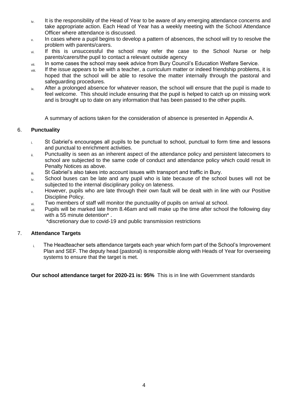- iv. It is the responsibility of the Head of Year to be aware of any emerging attendance concerns and take appropriate action. Each Head of Year has a weekly meeting with the School Attendance Officer where attendance is discussed.
- $v<sub>x</sub>$  In cases where a pupil begins to develop a pattern of absences, the school will try to resolve the problem with parents/carers.
- villect if this is unsuccessful the school may refer the case to the School Nurse or help parents/carers/the pupil to contact a relevant outside agency
- vii. In some cases the school may seek advice from Bury Council's Education Welfare Service.
- viii. If the issue appears to be with a teacher, a curriculum matter or indeed friendship problems, it is hoped that the school will be able to resolve the matter internally through the pastoral and safeguarding procedures.
- $i_{\text{tx}}$  After a prolonged absence for whatever reason, the school will ensure that the pupil is made to feel welcome. This should include ensuring that the pupil is helped to catch up on missing work and is brought up to date on any information that has been passed to the other pupils.

A summary of actions taken for the consideration of absence is presented in Appendix A.

#### 6. **Punctuality**

- i. St Gabriel's encourages all pupils to be punctual to school, punctual to form time and lessons and punctual to enrichment activities.
- ii. Punctuality is seen as an inherent aspect of the attendance policy and persistent latecomers to school are subjected to the same code of conduct and attendance policy which could result in Penalty Notices as above.
- iii. St Gabriel's also takes into account issues with transport and traffic in Bury.
- $iv<sub>iv</sub>$  School buses can be late and any pupil who is late because of the school buses will not be subjected to the internal disciplinary policy on lateness.
- v. However, pupils who are late through their own fault will be dealt with in line with our Positive Discipline Policy.
- vi. Two members of staff will monitor the punctuality of pupils on arrival at school.
- vii. Pupils will be marked late from 8.46am and will make up the time after school the following day with a 55 minute detention<sup>\*</sup>.
	- \*discretionary due to covid-19 and public transmission restrictions

#### 7. **Attendance Targets**

 $i.$  The Headteacher sets attendance targets each year which form part of the School's Improvement Plan and SEF. The deputy head (pastoral) is responsible along with Heads of Year for overseeing systems to ensure that the target is met.

**Our school attendance target for 2020-21 is: 95%** This is in line with Government standards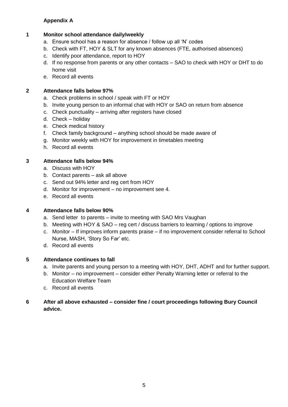#### **Appendix A**

#### **1 Monitor school attendance daily/weekly**

- a. Ensure school has a reason for absence / follow up all 'N' codes
- b. Check with FT, HOY & SLT for any known absences (FTE, authorised absences)
- c. Identify poor attendance, report to HOY
- d. If no response from parents or any other contacts SAO to check with HOY or DHT to do home visit
- e. Record all events

#### **2 Attendance falls below 97%**

- a. Check problems in school / speak with FT or HOY
- b. Invite young person to an informal chat with HOY or SAO on return from absence
- c. Check punctuality arriving after registers have closed
- d. Check holiday
- e. Check medical history
- f. Check family background anything school should be made aware of
- g. Monitor weekly with HOY for improvement in timetables meeting
- h. Record all events

#### **3 Attendance falls below 94%**

- a. Discuss with HOY
- b. Contact parents ask all above
- c. Send out 94% letter and reg cert from HOY
- d. Monitor for improvement no improvement see 4.
- e. Record all events

#### **4 Attendance falls below 90%**

- a. Send letter to parents invite to meeting with SAO Mrs Vaughan
- b. Meeting with HOY & SAO reg cert / discuss barriers to learning / options to improve
- c. Monitor If improves inform parents praise if no improvement consider referral to School Nurse, MASH, 'Story So Far' etc.
- d. Record all events

#### **5 Attendance continues to fall**

- a. Invite parents and young person to a meeting with HOY, DHT, ADHT and for further support.
- b. Monitor no improvement consider either Penalty Warning letter or referral to the Education Welfare Team
- c. Record all events

#### **6 After all above exhausted – consider fine / court proceedings following Bury Council advice.**